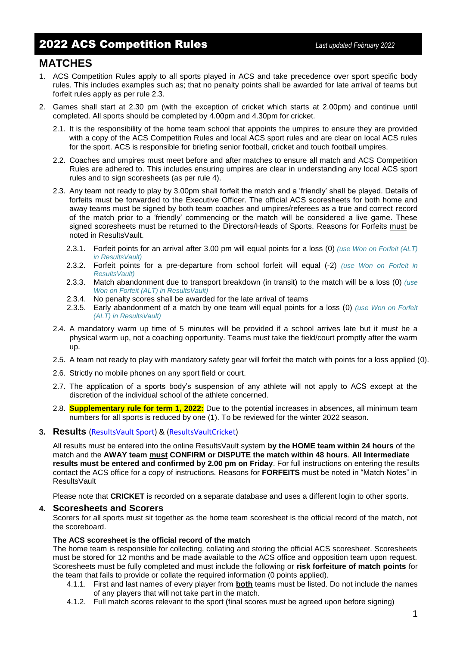# **MATCHES**

- 1. ACS Competition Rules apply to all sports played in ACS and take precedence over sport specific body rules. This includes examples such as; that no penalty points shall be awarded for late arrival of teams but forfeit rules apply as per rule 2.3.
- 2. Games shall start at 2.30 pm (with the exception of cricket which starts at 2.00pm) and continue until completed. All sports should be completed by 4.00pm and 4.30pm for cricket.
	- 2.1. It is the responsibility of the home team school that appoints the umpires to ensure they are provided with a copy of the ACS Competition Rules and local ACS sport rules and are clear on local ACS rules for the sport. ACS is responsible for briefing senior football, cricket and touch football umpires.
	- 2.2. Coaches and umpires must meet before and after matches to ensure all match and ACS Competition Rules are adhered to. This includes ensuring umpires are clear in understanding any local ACS sport rules and to sign scoresheets (as per rule 4).
	- 2.3. Any team not ready to play by 3.00pm shall forfeit the match and a 'friendly' shall be played. Details of forfeits must be forwarded to the Executive Officer. The official ACS scoresheets for both home and away teams must be signed by both team coaches and umpires/referees as a true and correct record of the match prior to a 'friendly' commencing or the match will be considered a live game. These signed scoresheets must be returned to the Directors/Heads of Sports. Reasons for Forfeits must be noted in ResultsVault.
		- 2.3.1. Forfeit points for an arrival after 3.00 pm will equal points for a loss (0) *(use Won on Forfeit (ALT) in ResultsVault)*
		- 2.3.2. Forfeit points for a pre-departure from school forfeit will equal (-2) *(use Won on Forfeit in ResultsVault)*
		- 2.3.3. Match abandonment due to transport breakdown (in transit) to the match will be a loss (0) *(use Won on Forfeit (ALT) in ResultsVault)*
		- 2.3.4. No penalty scores shall be awarded for the late arrival of teams
		- 2.3.5. Early abandonment of a match by one team will equal points for a loss (0) *(use Won on Forfeit (ALT) in ResultsVault)*
	- 2.4. A mandatory warm up time of 5 minutes will be provided if a school arrives late but it must be a physical warm up, not a coaching opportunity. Teams must take the field/court promptly after the warm up.
	- 2.5. A team not ready to play with mandatory safety gear will forfeit the match with points for a loss applied (0).
	- 2.6. Strictly no mobile phones on any sport field or court.
	- 2.7. The application of a sports body's suspension of any athlete will not apply to ACS except at the discretion of the individual school of the athlete concerned.
	- 2.8. **Supplementary rule for term 1, 2022:** Due to the potential increases in absences, all minimum team numbers for all sports is reduced by one (1). To be reviewed for the winter 2022 season.

### **3. Results** [\(ResultsVault Sport\)](https://admin-sport.resultsvault.com/Login.aspx?returnurl=/default.aspx&sslredirect=1) & [\(ResultsVaultCricket\)](https://admin-cricket.resultsvault.com/Login.aspx?returnurl=/default.aspx&sslredirect=1)

All results must be entered into the online ResultsVault system **by the HOME team within 24 hours** of the match and the **AWAY team must CONFIRM or DISPUTE the match within 48 hours**. **All Intermediate results must be entered and confirmed by 2.00 pm on Friday**. For full instructions on entering the results contact the ACS office for a copy of instructions. Reasons for **FORFEITS** must be noted in "Match Notes" in ResultsVault

Please note that **CRICKET** is recorded on a separate database and uses a different login to other sports.

### **4. Scoresheets and Scorers**

Scorers for all sports must sit together as the home team scoresheet is the official record of the match, not the scoreboard.

### **The ACS scoresheet is the official record of the match**

The home team is responsible for collecting, collating and storing the official ACS scoresheet. Scoresheets must be stored for 12 months and be made available to the ACS office and opposition team upon request. Scoresheets must be fully completed and must include the following or **risk forfeiture of match points** for the team that fails to provide or collate the required information (0 points applied).

- 4.1.1. First and last names of every player from **both** teams must be listed. Do not include the names of any players that will not take part in the match.
- 4.1.2. Full match scores relevant to the sport (final scores must be agreed upon before signing)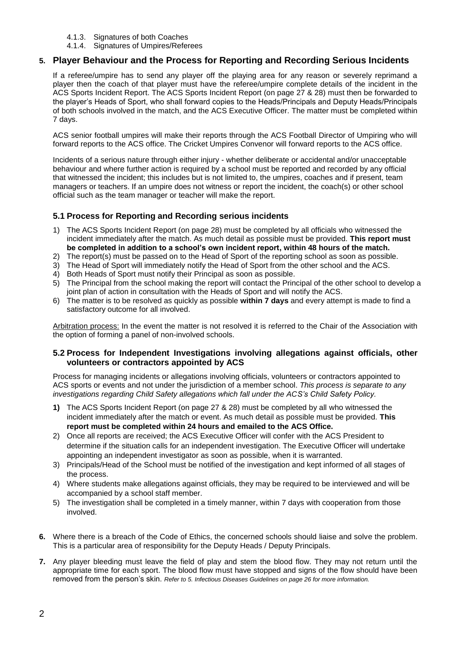- 4.1.3. Signatures of both Coaches
- 4.1.4. Signatures of Umpires/Referees

# **5. Player Behaviour and the Process for Reporting and Recording Serious Incidents**

If a referee/umpire has to send any player off the playing area for any reason or severely reprimand a player then the coach of that player must have the referee/umpire complete details of the incident in the ACS Sports Incident Report. The ACS Sports Incident Report (on page 27 & 28) must then be forwarded to the player's Heads of Sport, who shall forward copies to the Heads/Principals and Deputy Heads/Principals of both schools involved in the match, and the ACS Executive Officer. The matter must be completed within 7 days.

ACS senior football umpires will make their reports through the ACS Football Director of Umpiring who will forward reports to the ACS office. The Cricket Umpires Convenor will forward reports to the ACS office.

Incidents of a serious nature through either injury - whether deliberate or accidental and/or unacceptable behaviour and where further action is required by a school must be reported and recorded by any official that witnessed the incident; this includes but is not limited to, the umpires, coaches and if present, team managers or teachers. If an umpire does not witness or report the incident, the coach(s) or other school official such as the team manager or teacher will make the report.

# **5.1 Process for Reporting and Recording serious incidents**

- 1) The ACS Sports Incident Report (on page 28) must be completed by all officials who witnessed the incident immediately after the match. As much detail as possible must be provided. **This report must be completed in addition to a school's own incident report, within 48 hours of the match.**
- 2) The report(s) must be passed on to the Head of Sport of the reporting school as soon as possible.
- 3) The Head of Sport will immediately notify the Head of Sport from the other school and the ACS.
- 4) Both Heads of Sport must notify their Principal as soon as possible.
- 5) The Principal from the school making the report will contact the Principal of the other school to develop a joint plan of action in consultation with the Heads of Sport and will notify the ACS.
- 6) The matter is to be resolved as quickly as possible **within 7 days** and every attempt is made to find a satisfactory outcome for all involved.

Arbitration process: In the event the matter is not resolved it is referred to the Chair of the Association with the option of forming a panel of non-involved schools.

## **5.2 Process for Independent Investigations involving allegations against officials, other volunteers or contractors appointed by ACS**

Process for managing incidents or allegations involving officials, volunteers or contractors appointed to ACS sports or events and not under the jurisdiction of a member school. *This process is separate to any investigations regarding Child Safety allegations which fall under the ACS's Child Safety Policy.*

- **1)** The ACS Sports Incident Report (on page 27 & 28) must be completed by all who witnessed the incident immediately after the match or event. As much detail as possible must be provided. **This report must be completed within 24 hours and emailed to the ACS Office.**
- 2) Once all reports are received; the ACS Executive Officer will confer with the ACS President to determine if the situation calls for an independent investigation. The Executive Officer will undertake appointing an independent investigator as soon as possible, when it is warranted.
- 3) Principals/Head of the School must be notified of the investigation and kept informed of all stages of the process.
- 4) Where students make allegations against officials, they may be required to be interviewed and will be accompanied by a school staff member.
- 5) The investigation shall be completed in a timely manner, within 7 days with cooperation from those involved.
- **6.** Where there is a breach of the Code of Ethics, the concerned schools should liaise and solve the problem. This is a particular area of responsibility for the Deputy Heads / Deputy Principals.
- **7.** Any player bleeding must leave the field of play and stem the blood flow. They may not return until the appropriate time for each sport. The blood flow must have stopped and signs of the flow should have been removed from the person's skin. *Refer to 5. Infectious Diseases Guidelines on page 26 for more information.*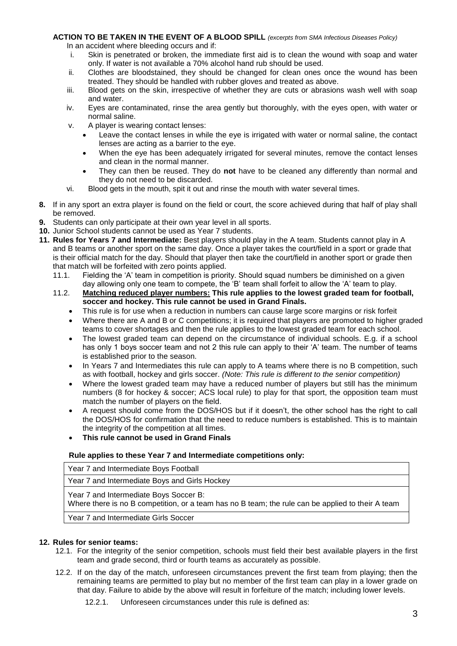# **ACTION TO BE TAKEN IN THE EVENT OF A BLOOD SPILL** *(excerpts from SMA Infectious Diseases Policy)*

In an accident where bleeding occurs and if:

- i. Skin is penetrated or broken, the immediate first aid is to clean the wound with soap and water only. If water is not available a 70% alcohol hand rub should be used.
- ii. Clothes are bloodstained, they should be changed for clean ones once the wound has been treated. They should be handled with rubber gloves and treated as above.
- iii. Blood gets on the skin, irrespective of whether they are cuts or abrasions wash well with soap and water.
- iv. Eyes are contaminated, rinse the area gently but thoroughly, with the eyes open, with water or normal saline.
- v. A player is wearing contact lenses:
	- Leave the contact lenses in while the eye is irrigated with water or normal saline, the contact lenses are acting as a barrier to the eye.
	- When the eye has been adequately irrigated for several minutes, remove the contact lenses and clean in the normal manner.
	- They can then be reused. They do **not** have to be cleaned any differently than normal and they do not need to be discarded.
- vi. Blood gets in the mouth, spit it out and rinse the mouth with water several times.
- **8.** If in any sport an extra player is found on the field or court, the score achieved during that half of play shall be removed.
- **9.** Students can only participate at their own year level in all sports.
- **10.** Junior School students cannot be used as Year 7 students.
- **11. Rules for Years 7 and Intermediate:** Best players should play in the A team. Students cannot play in A and B teams or another sport on the same day. Once a player takes the court/field in a sport or grade that is their official match for the day. Should that player then take the court/field in another sport or grade then that match will be forfeited with zero points applied.
	- 11.1. Fielding the 'A' team in competition is priority. Should squad numbers be diminished on a given day allowing only one team to compete, the 'B' team shall forfeit to allow the 'A' team to play.
	- 11.2. **Matching reduced player numbers: This rule applies to the lowest graded team for football, soccer and hockey. This rule cannot be used in Grand Finals.**
		- This rule is for use when a reduction in numbers can cause large score margins or risk forfeit
		- Where there are A and B or C competitions; it is required that players are promoted to higher graded teams to cover shortages and then the rule applies to the lowest graded team for each school.
		- The lowest graded team can depend on the circumstance of individual schools. E.g. if a school has only 1 boys soccer team and not 2 this rule can apply to their 'A' team. The number of teams is established prior to the season.
		- In Years 7 and Intermediates this rule can apply to A teams where there is no B competition, such as with football, hockey and girls soccer. *(Note: This rule is different to the senior competition)*
		- Where the lowest graded team may have a reduced number of players but still has the minimum numbers (8 for hockey & soccer; ACS local rule) to play for that sport, the opposition team must match the number of players on the field.
		- A request should come from the DOS/HOS but if it doesn't, the other school has the right to call the DOS/HOS for confirmation that the need to reduce numbers is established. This is to maintain the integrity of the competition at all times.
		- **This rule cannot be used in Grand Finals**

### **Rule applies to these Year 7 and Intermediate competitions only:**

|  | Year 7 and Intermediate Boys Football |  |
|--|---------------------------------------|--|
|  |                                       |  |

Year 7 and Intermediate Boys and Girls Hockey

Year 7 and Intermediate Boys Soccer B:

Where there is no B competition, or a team has no B team; the rule can be applied to their A team

Year 7 and Intermediate Girls Soccer

## **12. Rules for senior teams:**

- 12.1. For the integrity of the senior competition, schools must field their best available players in the first team and grade second, third or fourth teams as accurately as possible.
- 12.2. If on the day of the match, unforeseen circumstances prevent the first team from playing; then the remaining teams are permitted to play but no member of the first team can play in a lower grade on that day. Failure to abide by the above will result in forfeiture of the match; including lower levels.

12.2.1. Unforeseen circumstances under this rule is defined as: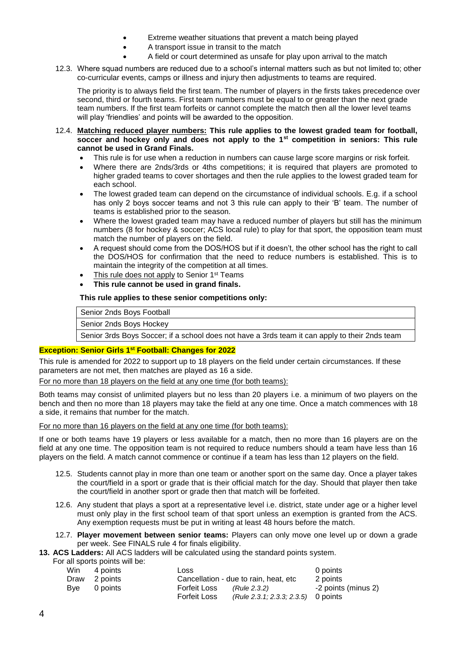- Extreme weather situations that prevent a match being played
- A transport issue in transit to the match
- A field or court determined as unsafe for play upon arrival to the match
- 12.3. Where squad numbers are reduced due to a school's internal matters such as but not limited to; other co-curricular events, camps or illness and injury then adjustments to teams are required.

The priority is to always field the first team. The number of players in the firsts takes precedence over second, third or fourth teams. First team numbers must be equal to or greater than the next grade team numbers. If the first team forfeits or cannot complete the match then all the lower level teams will play 'friendlies' and points will be awarded to the opposition.

### 12.4. **Matching reduced player numbers: This rule applies to the lowest graded team for football, soccer and hockey only and does not apply to the 1st competition in seniors: This rule cannot be used in Grand Finals.**

- This rule is for use when a reduction in numbers can cause large score margins or risk forfeit.
- Where there are 2nds/3rds or 4ths competitions; it is required that players are promoted to higher graded teams to cover shortages and then the rule applies to the lowest graded team for each school.
- The lowest graded team can depend on the circumstance of individual schools. E.g. if a school has only 2 boys soccer teams and not 3 this rule can apply to their 'B' team. The number of teams is established prior to the season.
- Where the lowest graded team may have a reduced number of players but still has the minimum numbers (8 for hockey & soccer; ACS local rule) to play for that sport, the opposition team must match the number of players on the field.
- A request should come from the DOS/HOS but if it doesn't, the other school has the right to call the DOS/HOS for confirmation that the need to reduce numbers is established. This is to maintain the integrity of the competition at all times.
- This rule does not apply to Senior 1<sup>st</sup> Teams
- **This rule cannot be used in grand finals.**

# **This rule applies to these senior competitions only:**

Senior 2nds Boys Football

Senior 2nds Boys Hockey

Senior 3rds Boys Soccer; if a school does not have a 3rds team it can apply to their 2nds team

## **Exception: Senior Girls 1st Football: Changes for 2022**

This rule is amended for 2022 to support up to 18 players on the field under certain circumstances. If these parameters are not met, then matches are played as 16 a side.

For no more than 18 players on the field at any one time (for both teams):

Both teams may consist of unlimited players but no less than 20 players i.e. a minimum of two players on the bench and then no more than 18 players may take the field at any one time. Once a match commences with 18 a side, it remains that number for the match.

For no more than 16 players on the field at any one time (for both teams):

If one or both teams have 19 players or less available for a match, then no more than 16 players are on the field at any one time. The opposition team is not required to reduce numbers should a team have less than 16 players on the field. A match cannot commence or continue if a team has less than 12 players on the field.

- 12.5. Students cannot play in more than one team or another sport on the same day. Once a player takes the court/field in a sport or grade that is their official match for the day. Should that player then take the court/field in another sport or grade then that match will be forfeited.
- 12.6. Any student that plays a sport at a representative level i.e. district, state under age or a higher level must only play in the first school team of that sport unless an exemption is granted from the ACS. Any exemption requests must be put in writing at least 48 hours before the match.
- 12.7. **Player movement between senior teams:** Players can only move one level up or down a grade per week. See FINALS rule 4 for finals eligibility.

**13. ACS Ladders:** All ACS ladders will be calculated using the standard points system.

| For all sports points will be: |  |  |
|--------------------------------|--|--|

|     | Win 4 points  | Loss                                  |                                       | 0 points            |
|-----|---------------|---------------------------------------|---------------------------------------|---------------------|
|     | Draw 2 points | Cancellation - due to rain, heat, etc |                                       | 2 points            |
| Bve | 0 points      | <b>Forfeit Loss</b>                   | (Rule 2.3.2)                          | -2 points (minus 2) |
|     |               | <b>Forfeit Loss</b>                   | $(Rule 2.3.1; 2.3.3; 2.3.5)$ 0 points |                     |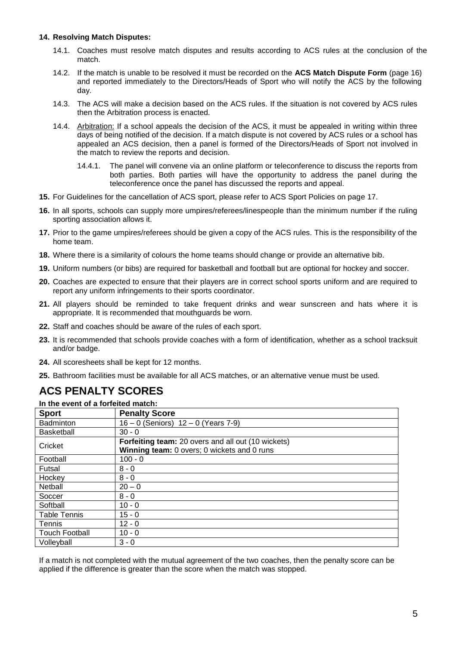## **14. Resolving Match Disputes:**

- 14.1. Coaches must resolve match disputes and results according to ACS rules at the conclusion of the match.
- 14.2. If the match is unable to be resolved it must be recorded on the **ACS Match Dispute Form** (page 16) and reported immediately to the Directors/Heads of Sport who will notify the ACS by the following day.
- 14.3. The ACS will make a decision based on the ACS rules. If the situation is not covered by ACS rules then the Arbitration process is enacted.
- 14.4. Arbitration: If a school appeals the decision of the ACS, it must be appealed in writing within three days of being notified of the decision. If a match dispute is not covered by ACS rules or a school has appealed an ACS decision, then a panel is formed of the Directors/Heads of Sport not involved in the match to review the reports and decision.
	- 14.4.1. The panel will convene via an online platform or teleconference to discuss the reports from both parties. Both parties will have the opportunity to address the panel during the teleconference once the panel has discussed the reports and appeal.
- **15.** For Guidelines for the cancellation of ACS sport, please refer to ACS Sport Policies on page 17.
- **16.** In all sports, schools can supply more umpires/referees/linespeople than the minimum number if the ruling sporting association allows it.
- **17.** Prior to the game umpires/referees should be given a copy of the ACS rules. This is the responsibility of the home team.
- **18.** Where there is a similarity of colours the home teams should change or provide an alternative bib.
- **19.** Uniform numbers (or bibs) are required for basketball and football but are optional for hockey and soccer.
- **20.** Coaches are expected to ensure that their players are in correct school sports uniform and are required to report any uniform infringements to their sports coordinator.
- **21.** All players should be reminded to take frequent drinks and wear sunscreen and hats where it is appropriate. It is recommended that mouthguards be worn.
- **22.** Staff and coaches should be aware of the rules of each sport.
- **23.** It is recommended that schools provide coaches with a form of identification, whether as a school tracksuit and/or badge.
- **24.** All scoresheets shall be kept for 12 months.
- **25.** Bathroom facilities must be available for all ACS matches, or an alternative venue must be used.

# **ACS PENALTY SCORES**

**In the event of a forfeited match:**

| <b>Sport</b>          | <b>Penalty Score</b>                                                                              |
|-----------------------|---------------------------------------------------------------------------------------------------|
| <b>Badminton</b>      | $16 - 0$ (Seniors) $12 - 0$ (Years 7-9)                                                           |
| <b>Basketball</b>     | $30 - 0$                                                                                          |
| Cricket               | Forfeiting team: 20 overs and all out (10 wickets)<br>Winning team: 0 overs; 0 wickets and 0 runs |
| Football              | $100 - 0$                                                                                         |
| Futsal                | $8 - 0$                                                                                           |
| Hockey                | $8 - 0$                                                                                           |
| Netball               | $20 - 0$                                                                                          |
| Soccer                | $8 - 0$                                                                                           |
| Softball              | $10 - 0$                                                                                          |
| <b>Table Tennis</b>   | $15 - 0$                                                                                          |
| <b>Tennis</b>         | $12 - 0$                                                                                          |
| <b>Touch Football</b> | $10 - 0$                                                                                          |
| Volleyball            | $3 - 0$                                                                                           |

If a match is not completed with the mutual agreement of the two coaches, then the penalty score can be applied if the difference is greater than the score when the match was stopped.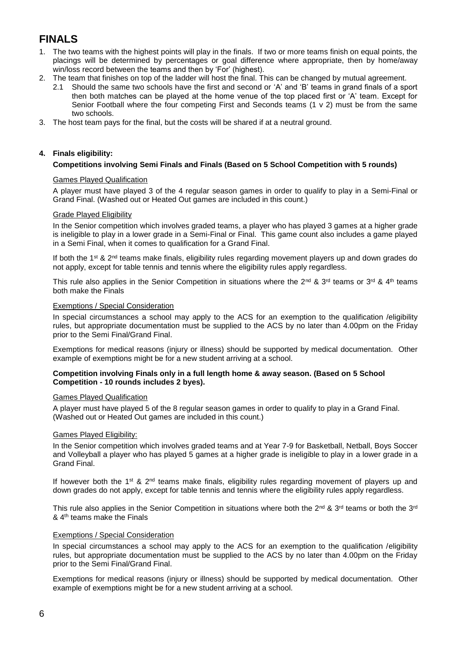# **FINALS**

- 1. The two teams with the highest points will play in the finals. If two or more teams finish on equal points, the placings will be determined by percentages or goal difference where appropriate, then by home/away win/loss record between the teams and then by 'For' (highest).
- 2. The team that finishes on top of the ladder will host the final. This can be changed by mutual agreement.
	- 2.1 Should the same two schools have the first and second or 'A' and 'B' teams in grand finals of a sport then both matches can be played at the home venue of the top placed first or 'A' team. Except for Senior Football where the four competing First and Seconds teams (1 v 2) must be from the same two schools.
- 3. The host team pays for the final, but the costs will be shared if at a neutral ground.

## **4. Finals eligibility:**

## **Competitions involving Semi Finals and Finals (Based on 5 School Competition with 5 rounds)**

### Games Played Qualification

A player must have played 3 of the 4 regular season games in order to qualify to play in a Semi-Final or Grand Final. (Washed out or Heated Out games are included in this count.)

## Grade Played Eligibility

In the Senior competition which involves graded teams, a player who has played 3 games at a higher grade is ineligible to play in a lower grade in a Semi-Final or Final. This game count also includes a game played in a Semi Final, when it comes to qualification for a Grand Final.

If both the 1<sup>st</sup> & 2<sup>nd</sup> teams make finals, eligibility rules regarding movement players up and down grades do not apply, except for table tennis and tennis where the eligibility rules apply regardless.

This rule also applies in the Senior Competition in situations where the 2<sup>nd</sup> & 3<sup>rd</sup> teams or 3<sup>rd</sup> & 4<sup>th</sup> teams both make the Finals

### Exemptions / Special Consideration

In special circumstances a school may apply to the ACS for an exemption to the qualification /eligibility rules, but appropriate documentation must be supplied to the ACS by no later than 4.00pm on the Friday prior to the Semi Final/Grand Final.

Exemptions for medical reasons (injury or illness) should be supported by medical documentation. Other example of exemptions might be for a new student arriving at a school.

#### **Competition involving Finals only in a full length home & away season. (Based on 5 School Competition - 10 rounds includes 2 byes).**

### Games Played Qualification

A player must have played 5 of the 8 regular season games in order to qualify to play in a Grand Final. (Washed out or Heated Out games are included in this count.)

### Games Played Eligibility:

In the Senior competition which involves graded teams and at Year 7-9 for Basketball, Netball, Boys Soccer and Volleyball a player who has played 5 games at a higher grade is ineligible to play in a lower grade in a Grand Final.

If however both the 1<sup>st</sup> & 2<sup>nd</sup> teams make finals, eligibility rules regarding movement of players up and down grades do not apply, except for table tennis and tennis where the eligibility rules apply regardless.

This rule also applies in the Senior Competition in situations where both the 2<sup>nd</sup> & 3<sup>rd</sup> teams or both the 3<sup>rd</sup> & 4<sup>th</sup> teams make the Finals

### Exemptions / Special Consideration

In special circumstances a school may apply to the ACS for an exemption to the qualification /eligibility rules, but appropriate documentation must be supplied to the ACS by no later than 4.00pm on the Friday prior to the Semi Final/Grand Final.

Exemptions for medical reasons (injury or illness) should be supported by medical documentation. Other example of exemptions might be for a new student arriving at a school.